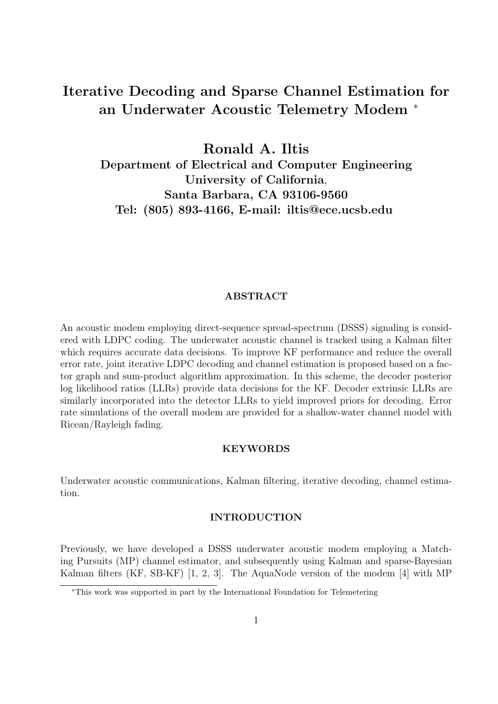# Iterative Decoding and Sparse Channel Estimation for an Underwater Acoustic Telemetry Modem <sup>∗</sup>

Ronald A. Iltis Department of Electrical and Computer Engineering University of California, Santa Barbara, CA 93106-9560 Tel: (805) 893-4166, E-mail: iltis@ece.ucsb.edu

## ABSTRACT

An acoustic modem employing direct-sequence spread-spectrum (DSSS) signaling is considered with LDPC coding. The underwater acoustic channel is tracked using a Kalman filter which requires accurate data decisions. To improve KF performance and reduce the overall error rate, joint iterative LDPC decoding and channel estimation is proposed based on a factor graph and sum-product algorithm approximation. In this scheme, the decoder posterior log likelihood ratios (LLRs) provide data decisions for the KF. Decoder extrinsic LLRs are similarly incorporated into the detector LLRs to yield improved priors for decoding. Error rate simulations of the overall modem are provided for a shallow-water channel model with Ricean/Rayleigh fading.

## **KEYWORDS**

Underwater acoustic communications, Kalman filtering, iterative decoding, channel estimation.

### INTRODUCTION

Previously, we have developed a DSSS underwater acoustic modem employing a Matching Pursuits (MP) channel estimator, and subsequently using Kalman and sparse-Bayesian Kalman filters (KF, SB-KF) [1, 2, 3]. The AquaNode version of the modem [4] with MP

<sup>∗</sup>This work was supported in part by the International Foundation for Telemetering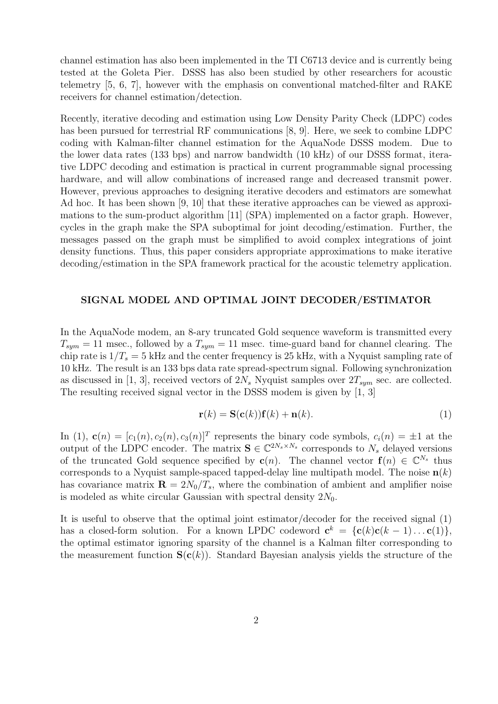channel estimation has also been implemented in the TI C6713 device and is currently being tested at the Goleta Pier. DSSS has also been studied by other researchers for acoustic telemetry [5, 6, 7], however with the emphasis on conventional matched-filter and RAKE receivers for channel estimation/detection.

Recently, iterative decoding and estimation using Low Density Parity Check (LDPC) codes has been pursued for terrestrial RF communications [8, 9]. Here, we seek to combine LDPC coding with Kalman-filter channel estimation for the AquaNode DSSS modem. Due to the lower data rates (133 bps) and narrow bandwidth (10 kHz) of our DSSS format, iterative LDPC decoding and estimation is practical in current programmable signal processing hardware, and will allow combinations of increased range and decreased transmit power. However, previous approaches to designing iterative decoders and estimators are somewhat Ad hoc. It has been shown [9, 10] that these iterative approaches can be viewed as approximations to the sum-product algorithm [11] (SPA) implemented on a factor graph. However, cycles in the graph make the SPA suboptimal for joint decoding/estimation. Further, the messages passed on the graph must be simplified to avoid complex integrations of joint density functions. Thus, this paper considers appropriate approximations to make iterative decoding/estimation in the SPA framework practical for the acoustic telemetry application.

#### SIGNAL MODEL AND OPTIMAL JOINT DECODER/ESTIMATOR

In the AquaNode modem, an 8-ary truncated Gold sequence waveform is transmitted every  $T_{sym} = 11$  msec., followed by a  $T_{sym} = 11$  msec. time-guard band for channel clearing. The chip rate is  $1/T_s = 5$  kHz and the center frequency is 25 kHz, with a Nyquist sampling rate of 10 kHz. The result is an 133 bps data rate spread-spectrum signal. Following synchronization as discussed in [1, 3], received vectors of  $2N_s$  Nyquist samples over  $2T_{sym}$  sec. are collected. The resulting received signal vector in the DSSS modem is given by [1, 3]

$$
\mathbf{r}(k) = \mathbf{S}(\mathbf{c}(k))\mathbf{f}(k) + \mathbf{n}(k). \tag{1}
$$

In (1),  $\mathbf{c}(n) = [c_1(n), c_2(n), c_3(n)]^T$  represents the binary code symbols,  $c_i(n) = \pm 1$  at the output of the LDPC encoder. The matrix  $\mathbf{S} \in \mathbb{C}^{2N_s \times N_s}$  corresponds to  $N_s$  delayed versions of the truncated Gold sequence specified by  $c(n)$ . The channel vector  $f(n) \in \mathbb{C}^{N_s}$  thus corresponds to a Nyquist sample-spaced tapped-delay line multipath model. The noise  $\mathbf{n}(k)$ has covariance matrix  $\mathbf{R} = 2N_0/T_s$ , where the combination of ambient and amplifier noise is modeled as white circular Gaussian with spectral density  $2N_0$ .

It is useful to observe that the optimal joint estimator/decoder for the received signal (1) has a closed-form solution. For a known LPDC codeword  $\mathbf{c}^k = {\mathbf{c}(k)\mathbf{c}(k-1)... \mathbf{c}(1)},$ the optimal estimator ignoring sparsity of the channel is a Kalman filter corresponding to the measurement function  $S(c(k))$ . Standard Bayesian analysis yields the structure of the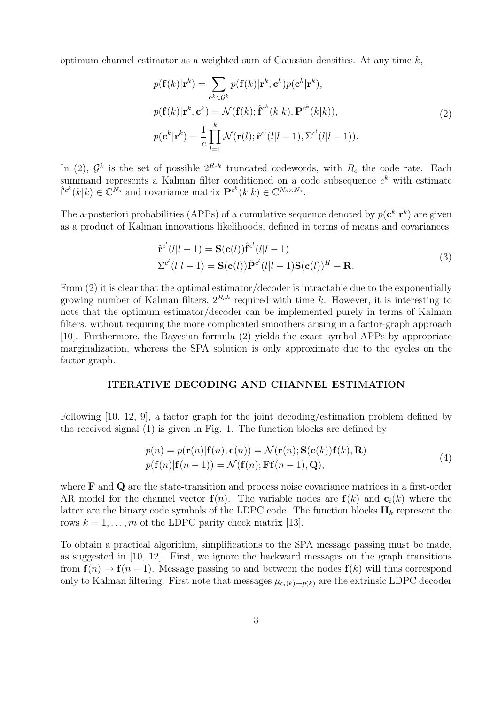optimum channel estimator as a weighted sum of Gaussian densities. At any time  $k$ ,

$$
p(\mathbf{f}(k)|\mathbf{r}^{k}) = \sum_{\mathbf{c}^{k} \in \mathcal{G}^{k}} p(\mathbf{f}(k)|\mathbf{r}^{k}, \mathbf{c}^{k}) p(\mathbf{c}^{k}|\mathbf{r}^{k}),
$$
  
\n
$$
p(\mathbf{f}(k)|\mathbf{r}^{k}, \mathbf{c}^{k}) = \mathcal{N}(\mathbf{f}(k); \hat{\mathbf{f}}^{c^{k}}(k|k), \mathbf{P}^{c^{k}}(k|k)),
$$
  
\n
$$
p(\mathbf{c}^{k}|\mathbf{r}^{k}) = \frac{1}{c} \prod_{l=1}^{k} \mathcal{N}(\mathbf{r}(l); \hat{\mathbf{r}}^{c^{l}}(l|l-1), \Sigma^{c^{l}}(l|l-1)).
$$
\n(2)

In (2),  $\mathcal{G}^k$  is the set of possible  $2^{R_c k}$  truncated codewords, with  $R_c$  the code rate. Each summand represents a Kalman filter conditioned on a code subsequence  $c<sup>k</sup>$  with estimate  $\hat{\mathbf{f}}^{c^k}(k|k) \in \mathbb{C}^{N_s}$  and covariance matrix  $\mathbf{P}^{c^k}(k|k) \in \mathbb{C}^{N_s \times N_s}$ .

The a-posteriori probabilities (APPs) of a cumulative sequence denoted by  $p(\mathbf{c}^k | \mathbf{r}^k)$  are given as a product of Kalman innovations likelihoods, defined in terms of means and covariances

$$
\begin{aligned} \hat{\mathbf{r}}^{c^{l}}(l|l-1) &= \mathbf{S}(\mathbf{c}(l))\hat{\mathbf{r}}^{c^{l}}(l|l-1) \\ \Sigma^{c^{l}}(l|l-1) &= \mathbf{S}(\mathbf{c}(l))\hat{\mathbf{P}}^{c^{l}}(l|l-1)\mathbf{S}(\mathbf{c}(l))^{H} + \mathbf{R}. \end{aligned} \tag{3}
$$

From (2) it is clear that the optimal estimator/decoder is intractable due to the exponentially growing number of Kalman filters,  $2^{R_c k}$  required with time k. However, it is interesting to note that the optimum estimator/decoder can be implemented purely in terms of Kalman filters, without requiring the more complicated smoothers arising in a factor-graph approach [10]. Furthermore, the Bayesian formula (2) yields the exact symbol APPs by appropriate marginalization, whereas the SPA solution is only approximate due to the cycles on the factor graph.

#### ITERATIVE DECODING AND CHANNEL ESTIMATION

Following [10, 12, 9], a factor graph for the joint decoding/estimation problem defined by the received signal (1) is given in Fig. 1. The function blocks are defined by

$$
p(n) = p(\mathbf{r}(n)|\mathbf{f}(n), \mathbf{c}(n)) = \mathcal{N}(\mathbf{r}(n); \mathbf{S}(\mathbf{c}(k))\mathbf{f}(k), \mathbf{R})
$$
  
\n
$$
p(\mathbf{f}(n)|\mathbf{f}(n-1)) = \mathcal{N}(\mathbf{f}(n); \mathbf{F}\mathbf{f}(n-1), \mathbf{Q}),
$$
\n(4)

where **F** and **Q** are the state-transition and process noise covariance matrices in a first-order AR model for the channel vector  $f(n)$ . The variable nodes are  $f(k)$  and  $c<sub>i</sub>(k)$  where the latter are the binary code symbols of the LDPC code. The function blocks  $H_k$  represent the rows  $k = 1, \ldots, m$  of the LDPC parity check matrix [13].

To obtain a practical algorithm, simplifications to the SPA message passing must be made, as suggested in [10, 12]. First, we ignore the backward messages on the graph transitions from  $f(n) \to f(n-1)$ . Message passing to and between the nodes  $f(k)$  will thus correspond only to Kalman filtering. First note that messages  $\mu_{c_i(k)\to p(k)}$  are the extrinsic LDPC decoder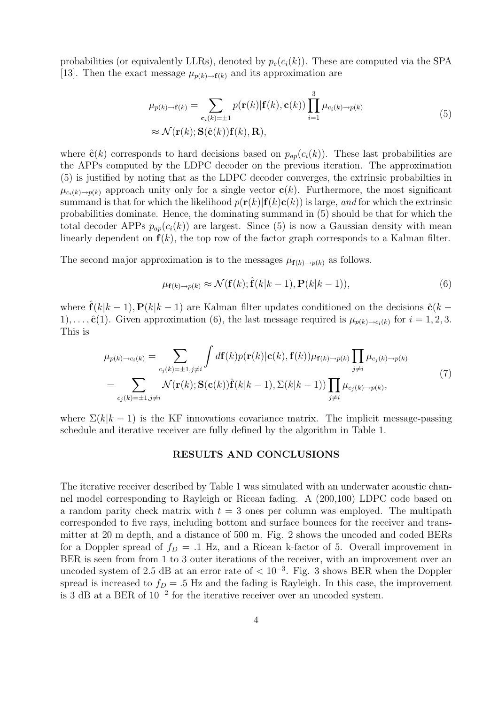probabilities (or equivalently LLRs), denoted by  $p_e(c_i(k))$ . These are computed via the SPA [13]. Then the exact message  $\mu_{p(k)\to f(k)}$  and its approximation are

$$
\mu_{p(k)\to\mathbf{f}(k)} = \sum_{\mathbf{c}_i(k)=\pm 1} p(\mathbf{r}(k)|\mathbf{f}(k), \mathbf{c}(k)) \prod_{i=1}^3 \mu_{c_i(k)\to p(k)} \tag{5}
$$
\n
$$
\approx \mathcal{N}(\mathbf{r}(k); \mathbf{S}(\hat{\mathbf{c}}(k)) \mathbf{f}(k), \mathbf{R}),
$$

where  $\hat{\mathbf{c}}(k)$  corresponds to hard decisions based on  $p_{ap}(c_i(k))$ . These last probabilities are the APPs computed by the LDPC decoder on the previous iteration. The approximation (5) is justified by noting that as the LDPC decoder converges, the extrinsic probabilties in  $\mu_{c_i(k)\to p(k)}$  approach unity only for a single vector  $\mathbf{c}(k)$ . Furthermore, the most significant summand is that for which the likelihood  $p(\mathbf{r}(k)|\mathbf{f}(k)\mathbf{c}(k))$  is large, and for which the extrinsic probabilities dominate. Hence, the dominating summand in (5) should be that for which the total decoder APPs  $p_{ap}(c_i(k))$  are largest. Since (5) is now a Gaussian density with mean linearly dependent on  $f(k)$ , the top row of the factor graph corresponds to a Kalman filter.

The second major approximation is to the messages  $\mu_{\mathbf{f}(k)\to p(k)}$  as follows.

$$
\mu_{\mathbf{f}(k)\to p(k)} \approx \mathcal{N}(\mathbf{f}(k); \hat{\mathbf{f}}(k|k-1), \mathbf{P}(k|k-1)),
$$
\n(6)

where  $\hat{\mathbf{f}}(k|k-1)$ ,  $\mathbf{P}(k|k-1)$  are Kalman filter updates conditioned on the decisions  $\hat{\mathbf{c}}(k-1)$ 1),...,  $\hat{\mathbf{c}}(1)$ . Given approximation (6), the last message required is  $\mu_{p(k)\to c_i(k)}$  for  $i=1,2,3$ . This is

$$
\mu_{p(k)\to c_i(k)} = \sum_{c_j(k)=\pm 1, j\neq i} \int d\mathbf{f}(k) p(\mathbf{r}(k)|\mathbf{c}(k), \mathbf{f}(k)) \mu_{\mathbf{f}(k)\to p(k)} \prod_{j\neq i} \mu_{c_j(k)\to p(k)}
$$
\n
$$
= \sum_{c_j(k)=\pm 1, j\neq i} \mathcal{N}(\mathbf{r}(k); \mathbf{S}(\mathbf{c}(k)) \hat{\mathbf{f}}(k|k-1), \Sigma(k|k-1)) \prod_{j\neq i} \mu_{c_j(k)\to p(k)},
$$
\n(7)

where  $\Sigma(k|k-1)$  is the KF innovations covariance matrix. The implicit message-passing schedule and iterative receiver are fully defined by the algorithm in Table 1.

## RESULTS AND CONCLUSIONS

The iterative receiver described by Table 1 was simulated with an underwater acoustic channel model corresponding to Rayleigh or Ricean fading. A (200,100) LDPC code based on a random parity check matrix with  $t = 3$  ones per column was employed. The multipath corresponded to five rays, including bottom and surface bounces for the receiver and transmitter at 20 m depth, and a distance of 500 m. Fig. 2 shows the uncoded and coded BERs for a Doppler spread of  $f_D = .1$  Hz, and a Ricean k-factor of 5. Overall improvement in BER is seen from from 1 to 3 outer iterations of the receiver, with an improvement over an uncoded system of 2.5 dB at an error rate of  $< 10^{-3}$ . Fig. 3 shows BER when the Doppler spread is increased to  $f_D = .5$  Hz and the fading is Rayleigh. In this case, the improvement is 3 dB at a BER of 10<sup>−</sup><sup>2</sup> for the iterative receiver over an uncoded system.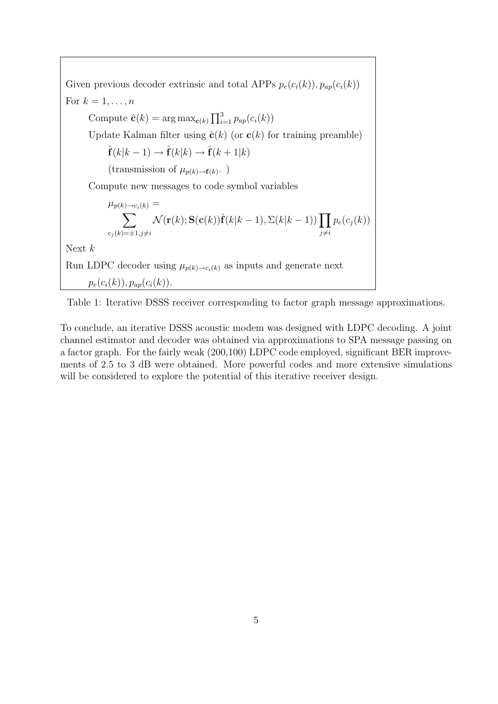



To conclude, an iterative DSSS acoustic modem was designed with LDPC decoding. A joint channel estimator and decoder was obtained via approximations to SPA message passing on a factor graph. For the fairly weak (200,100) LDPC code employed, significant BER improvements of 2.5 to 3 dB were obtained. More powerful codes and more extensive simulations will be considered to explore the potential of this iterative receiver design.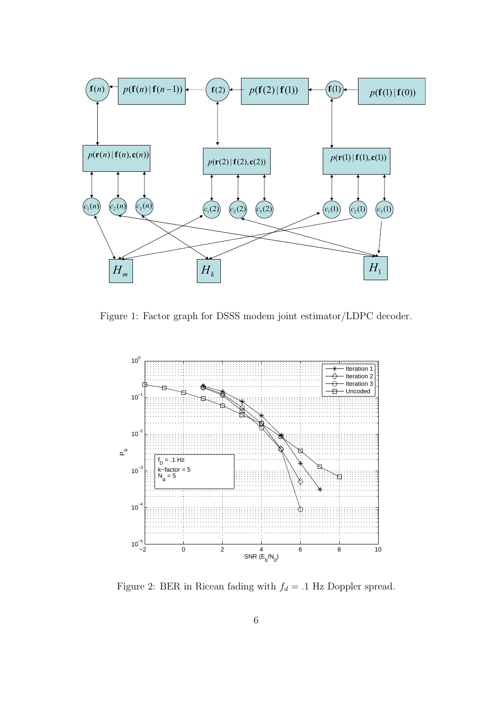

Figure 1: Factor graph for DSSS modem joint estimator/LDPC decoder.



Figure 2: BER in Ricean fading with  $f_d = .1 \ \mathrm{Hz}$  Doppler spread.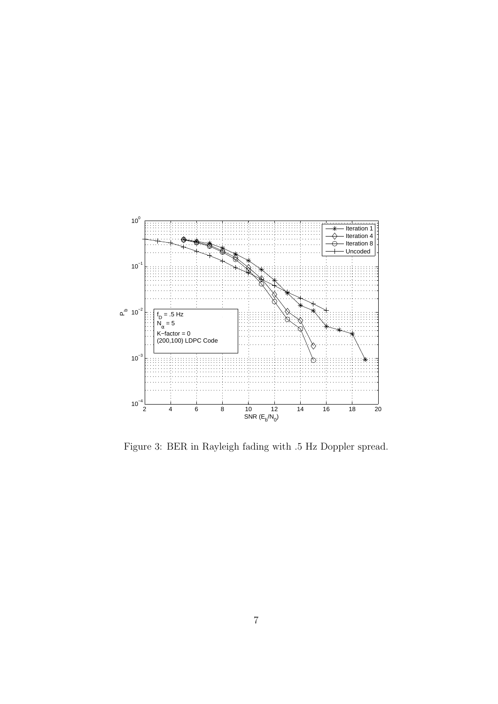

Figure 3: BER in Rayleigh fading with .5 Hz Doppler spread.